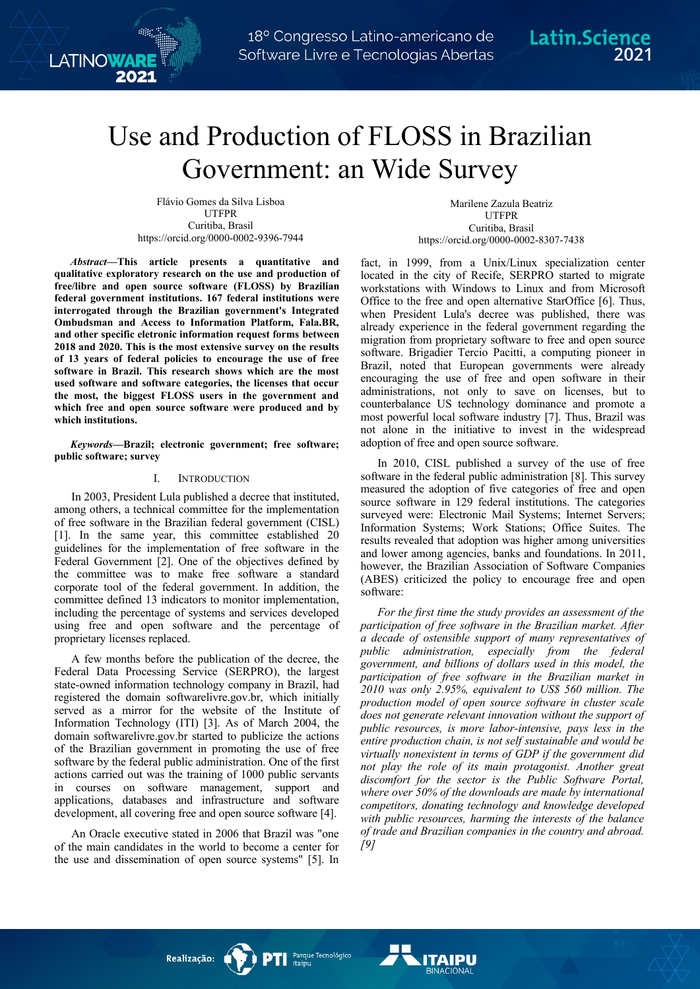# Use and Production of FLOSS in Brazilian Government: an Wide Survey

Flávio Gomes da Silva Lisboa UTFPR Curitiba, Brasil https://orcid.org/0000-0002-9396-7944

**LATINOWAR** 

*Abstract***—This article presents a quantitative and qualitative exploratory research on the use and production of free/libre and open source software (FLOSS) by Brazilian federal government institutions. 167 federal institutions were interrogated through the Brazilian government's Integrated Ombudsman and Access to Information Platform, Fala.BR, and other specific eletronic information request forms between 2018 and 2020. This is the most extensive survey on the results of 13 years of federal policies to encourage the use of free software in Brazil. This research shows which are the most used software and software categories, the licenses that occur the most, the biggest FLOSS users in the government and which free and open source software were produced and by which institutions.**

*Keywords—***Brazil; electronic government; free software; public software; survey**

### I. INTRODUCTION

In 2003, President Lula published a decree that instituted, among others, a technical committee for the implementation of free software in the Brazilian federal government (CISL) [1]. In the same year, this committee established 20 guidelines for the implementation of free software in the Federal Government [2]. One of the objectives defined by the committee was to make free software a standard corporate tool of the federal government. In addition, the committee defined 13 indicators to monitor implementation, including the percentage of systems and services developed using free and open software and the percentage of proprietary licenses replaced.

A few months before the publication of the decree, the Federal Data Processing Service (SERPRO), the largest state-owned information technology company in Brazil, had registered the domain softwarelivre.gov.br, which initially served as a mirror for the website of the Institute of Information Technology (ITI) [3]. As of March 2004, the domain softwarelivre.gov.br started to publicize the actions of the Brazilian government in promoting the use of free software by the federal public administration. One of the first actions carried out was the training of 1000 public servants in courses on software management, support and applications, databases and infrastructure and software development, all covering free and open source software [4].

An Oracle executive stated in 2006 that Brazil was "one of the main candidates in the world to become a center for the use and dissemination of open source systems" [5]. In

Marilene Zazula Beatriz UTFPR Curitiba, Brasil https://orcid.org/0000-0002-8307-7438

fact, in 1999, from a Unix/Linux specialization center located in the city of Recife, SERPRO started to migrate workstations with Windows to Linux and from Microsoft Office to the free and open alternative StarOffice [6]. Thus, when President Lula's decree was published, there was already experience in the federal government regarding the migration from proprietary software to free and open source software. Brigadier Tercio Pacitti, a computing pioneer in Brazil, noted that European governments were already encouraging the use of free and open software in their administrations, not only to save on licenses, but to counterbalance US technology dominance and promote a most powerful local software industry [7]. Thus, Brazil was not alone in the initiative to invest in the widespread adoption of free and open source software.

In 2010, CISL published a survey of the use of free software in the federal public administration [8]. This survey measured the adoption of five categories of free and open source software in 129 federal institutions. The categories surveyed were: Electronic Mail Systems; Internet Servers; Information Systems; Work Stations; Office Suites. The results revealed that adoption was higher among universities and lower among agencies, banks and foundations. In 2011, however, the Brazilian Association of Software Companies (ABES) criticized the policy to encourage free and open software:

*For the first time the study provides an assessment of the participation of free software in the Brazilian market. After a decade of ostensible support of many representatives of public administration, especially from the federal government, and billions of dollars used in this model, the participation of free software in the Brazilian market in 2010 was only 2.95%, equivalent to US\$ 560 million. The production model of open source software in cluster scale does not generate relevant innovation without the support of public resources, is more labor-intensive, pays less in the entire production chain, is not self sustainable and would be virtually nonexistent in terms of GDP if the government did not play the role of its main protagonist. Another great discomfort for the sector is the Public Software Portal, where over 50% of the downloads are made by international competitors, donating technology and knowledge developed with public resources, harming the interests of the balance of trade and Brazilian companies in the country and abroad. [9]*

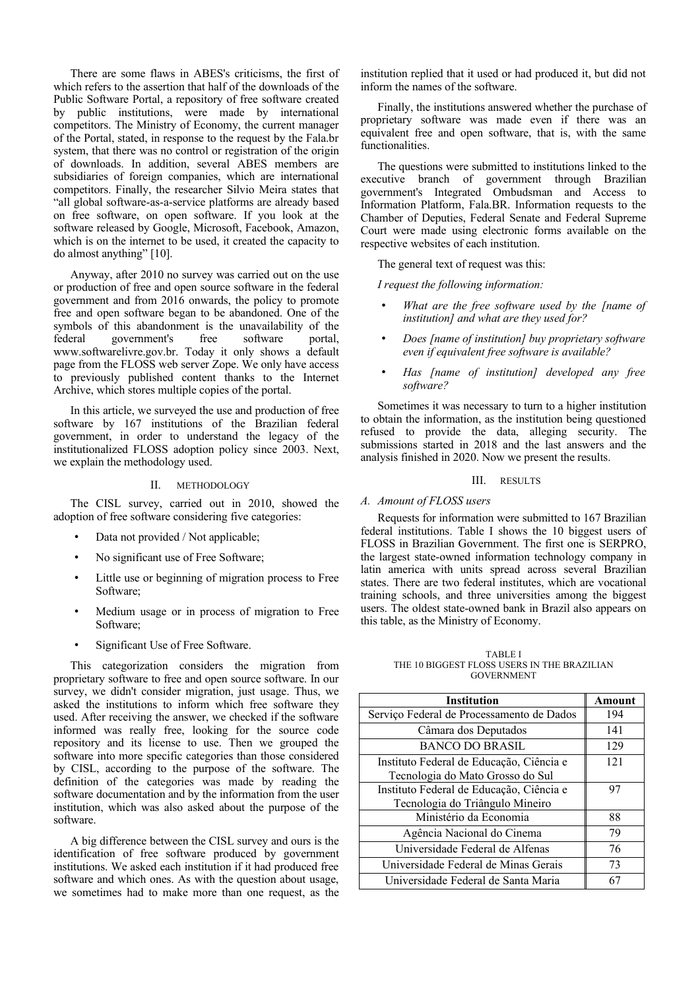There are some flaws in ABES's criticisms, the first of which refers to the assertion that half of the downloads of the Public Software Portal, a repository of free software created by public institutions, were made by international competitors. The Ministry of Economy, the current manager of the Portal, stated, in response to the request by the Fala.br system, that there was no control or registration of the origin of downloads. In addition, several ABES members are subsidiaries of foreign companies, which are international competitors. Finally, the researcher Silvio Meira states that "all global software-as-a-service platforms are already based on free software, on open software. If you look at the software released by Google, Microsoft, Facebook, Amazon, which is on the internet to be used, it created the capacity to do almost anything" [10].

Anyway, after 2010 no survey was carried out on the use or production of free and open source software in the federal government and from 2016 onwards, the policy to promote free and open software began to be abandoned. One of the symbols of this abandonment is the unavailability of the federal government's free software portal, www.softwarelivre.gov.br. Today it only shows a default page from the FLOSS web server Zope. We only have access to previously published content thanks to the Internet Archive, which stores multiple copies of the portal.

In this article, we surveyed the use and production of free software by 167 institutions of the Brazilian federal government, in order to understand the legacy of the institutionalized FLOSS adoption policy since 2003. Next, we explain the methodology used.

# II. METHODOLOGY

The CISL survey, carried out in 2010, showed the adoption of free software considering five categories:

- Data not provided / Not applicable;
- No significant use of Free Software;
- Little use or beginning of migration process to Free Software;
- Medium usage or in process of migration to Free Software;
- Significant Use of Free Software.

This categorization considers the migration from proprietary software to free and open source software. In our survey, we didn't consider migration, just usage. Thus, we asked the institutions to inform which free software they used. After receiving the answer, we checked if the software informed was really free, looking for the source code repository and its license to use. Then we grouped the software into more specific categories than those considered by CISL, according to the purpose of the software. The definition of the categories was made by reading the software documentation and by the information from the user institution, which was also asked about the purpose of the software.

A big difference between the CISL survey and ours is the identification of free software produced by government institutions. We asked each institution if it had produced free software and which ones. As with the question about usage, we sometimes had to make more than one request, as the

institution replied that it used or had produced it, but did not inform the names of the software.

Finally, the institutions answered whether the purchase of proprietary software was made even if there was an equivalent free and open software, that is, with the same functionalities.

The questions were submitted to institutions linked to the executive branch of government through Brazilian government's Integrated Ombudsman and Access to Information Platform, Fala.BR. Information requests to the Chamber of Deputies, Federal Senate and Federal Supreme Court were made using electronic forms available on the respective websites of each institution.

The general text of request was this:

*I request the following information:*

- *What are the free software used by the [name of institution] and what are they used for?*
- *Does [name of institution] buy proprietary software even if equivalent free software is available?*
- *Has [name of institution] developed any free software?*

Sometimes it was necessary to turn to a higher institution to obtain the information, as the institution being questioned refused to provide the data, alleging security. The submissions started in 2018 and the last answers and the analysis finished in 2020. Now we present the results.

#### III. RESULTS

#### *A. Amount of FLOSS users*

Requests for information were submitted to 167 Brazilian federal institutions. Table I shows the 10 biggest users of FLOSS in Brazilian Government. The first one is SERPRO, the largest state-owned information technology company in latin america with units spread across several Brazilian states. There are two federal institutes, which are vocational training schools, and three universities among the biggest users. The oldest state-owned bank in Brazil also appears on this table, as the Ministry of Economy.

TABLE I THE 10 BIGGEST FLOSS USERS IN THE BRAZILIAN GOVERNMENT

| <b>Institution</b>                        | Amount |
|-------------------------------------------|--------|
| Serviço Federal de Processamento de Dados | 194    |
| Câmara dos Deputados                      | 141    |
| <b>BANCO DO BRASIL</b>                    | 129    |
| Instituto Federal de Educação, Ciência e  | 121    |
| Tecnologia do Mato Grosso do Sul          |        |
| Instituto Federal de Educação, Ciência e  | 97     |
| Tecnologia do Triângulo Mineiro           |        |
| Ministério da Economia                    | 88     |
| Agência Nacional do Cinema                | 79     |
| Universidade Federal de Alfenas           | 76     |
| Universidade Federal de Minas Gerais      | 73     |
| Universidade Federal de Santa Maria       |        |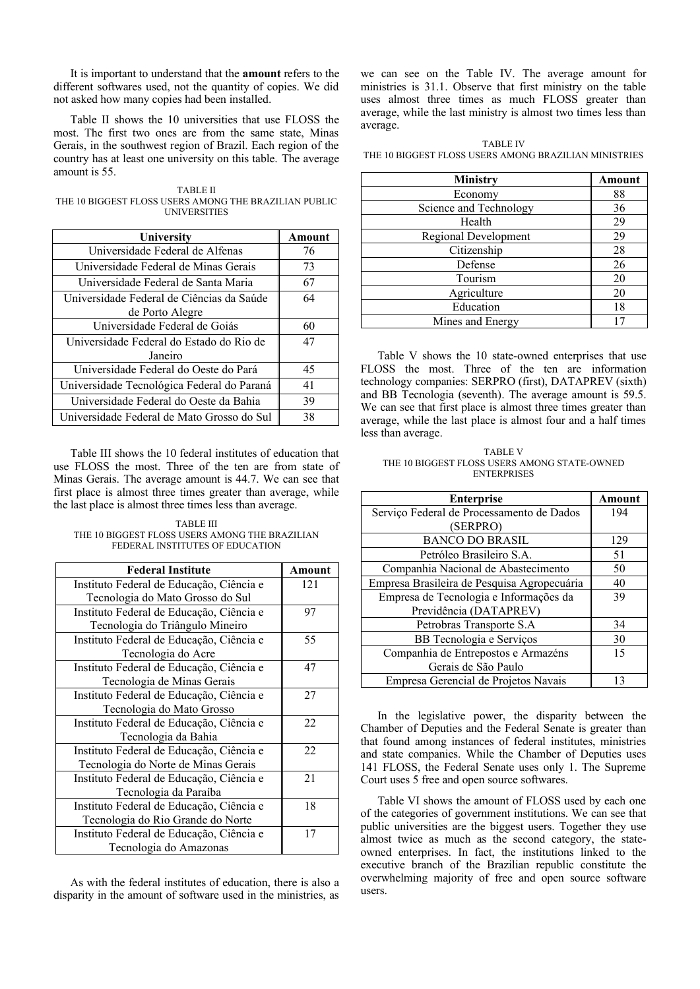It is important to understand that the **amount** refers to the different softwares used, not the quantity of copies. We did not asked how many copies had been installed.

Table II shows the 10 universities that use FLOSS the most. The first two ones are from the same state, Minas Gerais, in the southwest region of Brazil. Each region of the country has at least one university on this table. The average amount is 55.

TABLE II THE 10 BIGGEST FLOSS USERS AMONG THE BRAZILIAN PUBLIC UNIVERSITIES

| University                                 | Amount |
|--------------------------------------------|--------|
| Universidade Federal de Alfenas            | 76     |
| Universidade Federal de Minas Gerais       | 73     |
| Universidade Federal de Santa Maria        | 67     |
| Universidade Federal de Ciências da Saúde  | 64     |
| de Porto Alegre                            |        |
| Universidade Federal de Goiás              | 60     |
| Universidade Federal do Estado do Rio de   | 47     |
| Janeiro                                    |        |
| Universidade Federal do Oeste do Pará      | 45     |
| Universidade Tecnológica Federal do Paraná | 41     |
| Universidade Federal do Oeste da Bahia     | 39     |
| Universidade Federal de Mato Grosso do Sul | 38     |

Table III shows the 10 federal institutes of education that use FLOSS the most. Three of the ten are from state of Minas Gerais. The average amount is 44.7. We can see that first place is almost three times greater than average, while the last place is almost three times less than average.

TABLE III THE 10 BIGGEST FLOSS USERS AMONG THE BRAZILIAN FEDERAL INSTITUTES OF EDUCATION

| <b>Federal Institute</b>                 | Amount |
|------------------------------------------|--------|
| Instituto Federal de Educação, Ciência e | 121    |
| Tecnologia do Mato Grosso do Sul         |        |
| Instituto Federal de Educação, Ciência e | 97     |
| Tecnologia do Triângulo Mineiro          |        |
| Instituto Federal de Educação, Ciência e | 55     |
| Tecnologia do Acre                       |        |
| Instituto Federal de Educação, Ciência e | 47     |
| Tecnologia de Minas Gerais               |        |
| Instituto Federal de Educação, Ciência e | 27     |
| Tecnologia do Mato Grosso                |        |
| Instituto Federal de Educação, Ciência e | 22     |
| Tecnologia da Bahia                      |        |
| Instituto Federal de Educação, Ciência e | 22     |
| Tecnologia do Norte de Minas Gerais      |        |
| Instituto Federal de Educação, Ciência e | 21     |
| Tecnologia da Paraíba                    |        |
| Instituto Federal de Educação, Ciência e | 18     |
| Tecnologia do Rio Grande do Norte        |        |
| Instituto Federal de Educação, Ciência e | 17     |
| Tecnologia do Amazonas                   |        |

As with the federal institutes of education, there is also a disparity in the amount of software used in the ministries, as

we can see on the Table IV. The average amount for ministries is 31.1. Observe that first ministry on the table uses almost three times as much FLOSS greater than average, while the last ministry is almost two times less than average.

TABLE IV THE 10 BIGGEST FLOSS USERS AMONG BRAZILIAN MINISTRIES

| <b>Ministry</b>             | Amount |
|-----------------------------|--------|
| Economy                     | 88     |
| Science and Technology      | 36     |
| Health                      | 29     |
| <b>Regional Development</b> | 29     |
| Citizenship                 | 28     |
| Defense                     | 26     |
| Tourism                     | 20     |
| Agriculture                 | 20     |
| Education                   | 18     |
| Mines and Energy            |        |

Table V shows the 10 state-owned enterprises that use FLOSS the most. Three of the ten are information technology companies: SERPRO (first), DATAPREV (sixth) and BB Tecnologia (seventh). The average amount is 59.5. We can see that first place is almost three times greater than average, while the last place is almost four and a half times less than average.

TABLE V THE 10 BIGGEST FLOSS USERS AMONG STATE-OWNED **ENTERPRISES** 

| <b>Enterprise</b>                           | Amount |
|---------------------------------------------|--------|
| Serviço Federal de Processamento de Dados   | 194    |
| (SERPRO)                                    |        |
| <b>BANCO DO BRASIL</b>                      | 129    |
| Petróleo Brasileiro S.A.                    | 51     |
| Companhia Nacional de Abastecimento         | 50     |
| Empresa Brasileira de Pesquisa Agropecuária | 40     |
| Empresa de Tecnologia e Informações da      | 39     |
| Previdência (DATAPREV)                      |        |
| Petrobras Transporte S.A                    | 34     |
| BB Tecnologia e Serviços                    | 30     |
| Companhia de Entrepostos e Armazéns         | 15     |
| Gerais de São Paulo                         |        |
| Empresa Gerencial de Projetos Navais        | 13     |

In the legislative power, the disparity between the Chamber of Deputies and the Federal Senate is greater than that found among instances of federal institutes, ministries and state companies. While the Chamber of Deputies uses 141 FLOSS, the Federal Senate uses only 1. The Supreme Court uses 5 free and open source softwares.

Table VI shows the amount of FLOSS used by each one of the categories of government institutions. We can see that public universities are the biggest users. Together they use almost twice as much as the second category, the stateowned enterprises. In fact, the institutions linked to the executive branch of the Brazilian republic constitute the overwhelming majority of free and open source software users.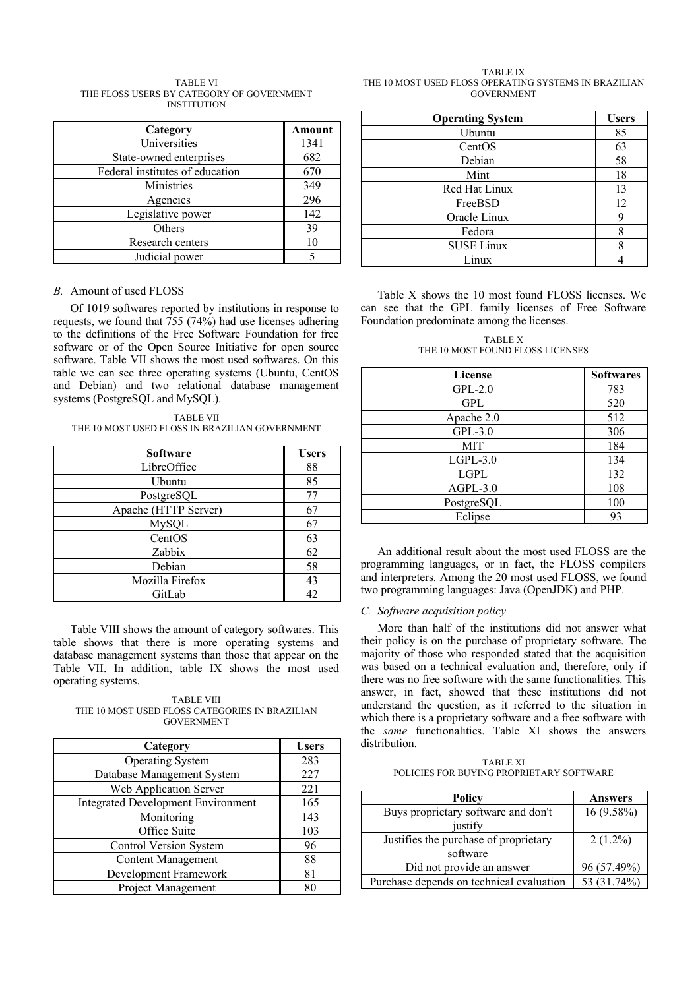| TABLE VI                                  |
|-------------------------------------------|
| THE FLOSS USERS BY CATEGORY OF GOVERNMENT |
| <b>INSTITUTION</b>                        |

| Category                        | Amount |
|---------------------------------|--------|
| Universities                    | 1341   |
| State-owned enterprises         | 682    |
| Federal institutes of education | 670    |
| Ministries                      | 349    |
| Agencies                        | 296    |
| Legislative power               | 142    |
| Others                          | 39     |
| Research centers                |        |
| Judicial power                  |        |

## *B.* Amount of used FLOSS

Of 1019 softwares reported by institutions in response to requests, we found that 755 (74%) had use licenses adhering to the definitions of the Free Software Foundation for free software or of the Open Source Initiative for open source software. Table VII shows the most used softwares. On this table we can see three operating systems (Ubuntu, CentOS and Debian) and two relational database management systems (PostgreSQL and MySQL).

TABLE VII THE 10 MOST USED FLOSS IN BRAZILIAN GOVERNMENT

| <b>Software</b>      | <b>Users</b> |
|----------------------|--------------|
| LibreOffice          | 88           |
| Ubuntu               | 85           |
| PostgreSQL           | 77           |
| Apache (HTTP Server) | 67           |
| <b>MySQL</b>         | 67           |
| CentOS               | 63           |
| Zabbix               | 62           |
| Debian               | 58           |
| Mozilla Firefox      | 43           |
| GitLab               |              |

Table VIII shows the amount of category softwares. This table shows that there is more operating systems and database management systems than those that appear on the Table VII. In addition, table IX shows the most used operating systems.

TABLE VIII THE 10 MOST USED FLOSS CATEGORIES IN BRAZILIAN GOVERNMENT

| Category                                  | <b>Users</b> |
|-------------------------------------------|--------------|
| <b>Operating System</b>                   | 283          |
| Database Management System                | 227          |
| Web Application Server                    | 221          |
| <b>Integrated Development Environment</b> | 165          |
| Monitoring                                | 143          |
| Office Suite                              | 103          |
| <b>Control Version System</b>             | 96           |
| <b>Content Management</b>                 | 88           |
| Development Framework                     | 81           |
| Project Management                        | 80           |

TABLE IX THE 10 MOST USED FLOSS OPERATING SYSTEMS IN BRAZILIAN GOVERNMENT

| <b>Operating System</b> | <b>Users</b> |
|-------------------------|--------------|
| Ubuntu                  | 85           |
| CentOS                  | 63           |
| Debian                  | 58           |
| Mint                    | 18           |
| Red Hat Linux           | 13           |
| FreeBSD                 | 12           |
| Oracle Linux            | 9            |
| Fedora                  | 8            |
| <b>SUSE Linux</b>       | 8            |
| Linux                   |              |

Table X shows the 10 most found FLOSS licenses. We can see that the GPL family licenses of Free Software Foundation predominate among the licenses.

TABLE X THE 10 MOST FOUND FLOSS LICENSES

| <b>License</b> | <b>Softwares</b> |
|----------------|------------------|
| $GPL-2.0$      | 783              |
| GPL            | 520              |
| Apache 2.0     | 512              |
| $GPL-3.0$      | 306              |
| <b>MIT</b>     | 184              |
| $LGPL-3.0$     | 134              |
| <b>LGPL</b>    | 132              |
| $AGPL-3.0$     | 108              |
| PostgreSQL     | 100              |
| Eclipse        | 93               |

An additional result about the most used FLOSS are the programming languages, or in fact, the FLOSS compilers and interpreters. Among the 20 most used FLOSS, we found two programming languages: Java (OpenJDK) and PHP.

#### *C. Software acquisition policy*

More than half of the institutions did not answer what their policy is on the purchase of proprietary software. The majority of those who responded stated that the acquisition was based on a technical evaluation and, therefore, only if there was no free software with the same functionalities. This answer, in fact, showed that these institutions did not understand the question, as it referred to the situation in which there is a proprietary software and a free software with the *same* functionalities. Table XI shows the answers distribution.

TABLE XI POLICIES FOR BUYING PROPRIETARY SOFTWARE

| Policy                                   | <b>Answers</b> |
|------------------------------------------|----------------|
| Buys proprietary software and don't      | $16(9.58\%)$   |
| justify                                  |                |
| Justifies the purchase of proprietary    | $2(1.2\%)$     |
| software                                 |                |
| Did not provide an answer                | 96 (57.49%)    |
| Purchase depends on technical evaluation | 53 (31.74%)    |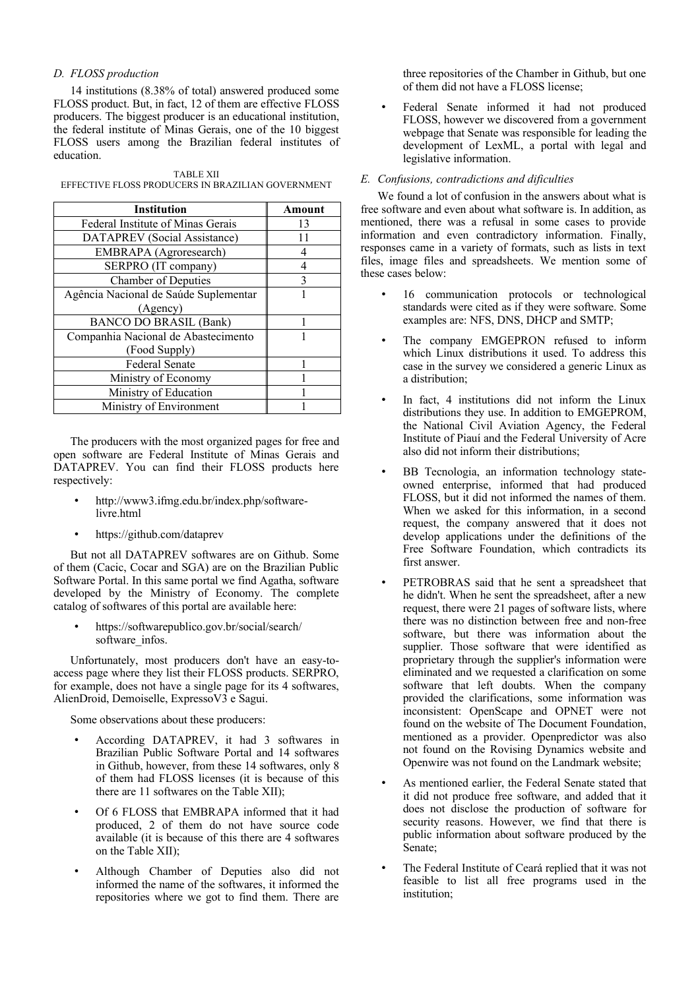# *D. FLOSS production*

14 institutions (8.38% of total) answered produced some FLOSS product. But, in fact, 12 of them are effective FLOSS producers. The biggest producer is an educational institution, the federal institute of Minas Gerais, one of the 10 biggest FLOSS users among the Brazilian federal institutes of education.

TABLE XII EFFECTIVE FLOSS PRODUCERS IN BRAZILIAN GOVERNMENT

| <b>Institution</b>                    | Amount |
|---------------------------------------|--------|
| Federal Institute of Minas Gerais     | 13     |
| DATAPREV (Social Assistance)          |        |
| <b>EMBRAPA</b> (Agroresearch)         |        |
| SERPRO (IT company)                   |        |
| <b>Chamber of Deputies</b>            | 3      |
| Agência Nacional de Saúde Suplementar |        |
| (Agency)                              |        |
| <b>BANCO DO BRASIL (Bank)</b>         |        |
| Companhia Nacional de Abastecimento   |        |
| (Food Supply)                         |        |
| Federal Senate                        |        |
| Ministry of Economy                   |        |
| Ministry of Education                 |        |
| Ministry of Environment               |        |

The producers with the most organized pages for free and open software are Federal Institute of Minas Gerais and DATAPREV. You can find their FLOSS products here respectively:

- http://www3.ifmg.edu.br/index.php/softwarelivre.html
- https://github.com/dataprev

But not all DATAPREV softwares are on Github. Some of them (Cacic, Cocar and SGA) are on the Brazilian Public Software Portal. In this same portal we find Agatha, software developed by the Ministry of Economy. The complete catalog of softwares of this portal are available here:

• https://softwarepublico.gov.br/social/search/ software\_infos.

Unfortunately, most producers don't have an easy-toaccess page where they list their FLOSS products. SERPRO, for example, does not have a single page for its 4 softwares, AlienDroid, Demoiselle, ExpressoV3 e Sagui.

Some observations about these producers:

- According DATAPREV, it had 3 softwares in Brazilian Public Software Portal and 14 softwares in Github, however, from these 14 softwares, only 8 of them had FLOSS licenses (it is because of this there are 11 softwares on the Table XII);
- Of 6 FLOSS that EMBRAPA informed that it had produced, 2 of them do not have source code available (it is because of this there are 4 softwares on the Table XII);
- Although Chamber of Deputies also did not informed the name of the softwares, it informed the repositories where we got to find them. There are

three repositories of the Chamber in Github, but one of them did not have a FLOSS license;

• Federal Senate informed it had not produced FLOSS, however we discovered from a government webpage that Senate was responsible for leading the development of LexML, a portal with legal and legislative information.

# *E. Confusions, contradictions and dificulties*

We found a lot of confusion in the answers about what is free software and even about what software is. In addition, as mentioned, there was a refusal in some cases to provide information and even contradictory information. Finally, responses came in a variety of formats, such as lists in text files, image files and spreadsheets. We mention some of these cases below:

- 16 communication protocols or technological standards were cited as if they were software. Some examples are: NFS, DNS, DHCP and SMTP;
- The company EMGEPRON refused to inform which Linux distributions it used. To address this case in the survey we considered a generic Linux as a distribution;
- In fact, 4 institutions did not inform the Linux distributions they use. In addition to EMGEPROM, the National Civil Aviation Agency, the Federal Institute of Piauí and the Federal University of Acre also did not inform their distributions;
- BB Tecnologia, an information technology stateowned enterprise, informed that had produced FLOSS, but it did not informed the names of them. When we asked for this information, in a second request, the company answered that it does not develop applications under the definitions of the Free Software Foundation, which contradicts its first answer.
- PETROBRAS said that he sent a spreadsheet that he didn't. When he sent the spreadsheet, after a new request, there were 21 pages of software lists, where there was no distinction between free and non-free software, but there was information about the supplier. Those software that were identified as proprietary through the supplier's information were eliminated and we requested a clarification on some software that left doubts. When the company provided the clarifications, some information was inconsistent: OpenScape and OPNET were not found on the website of The Document Foundation, mentioned as a provider. Openpredictor was also not found on the Rovising Dynamics website and Openwire was not found on the Landmark website;
- As mentioned earlier, the Federal Senate stated that it did not produce free software, and added that it does not disclose the production of software for security reasons. However, we find that there is public information about software produced by the Senate;
- The Federal Institute of Ceará replied that it was not feasible to list all free programs used in the institution;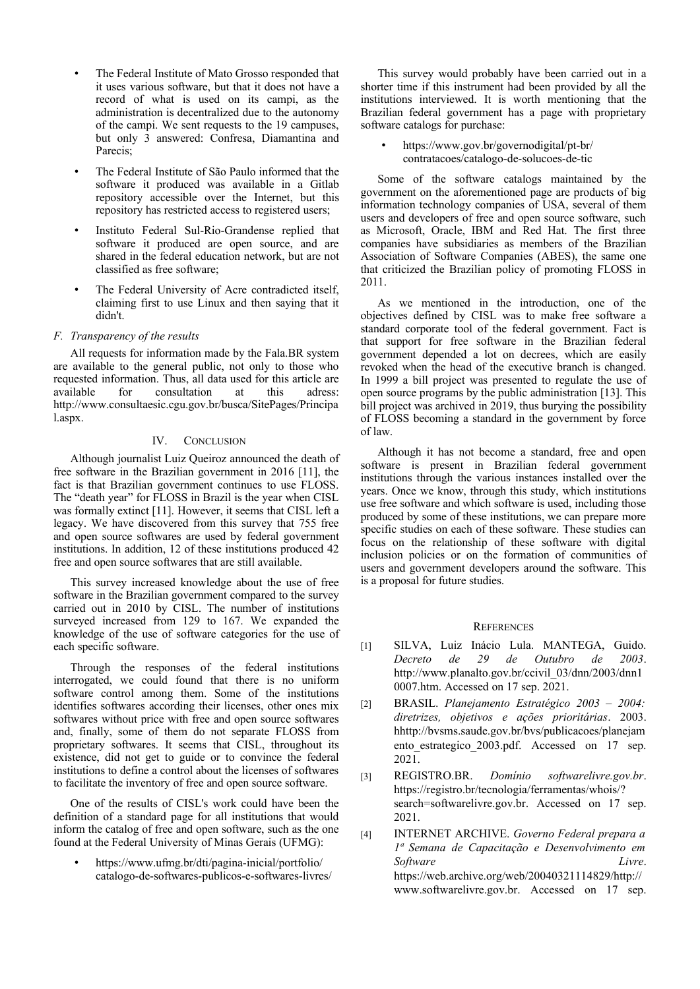- The Federal Institute of Mato Grosso responded that it uses various software, but that it does not have a record of what is used on its campi, as the administration is decentralized due to the autonomy of the campi. We sent requests to the 19 campuses, but only 3 answered: Confresa, Diamantina and Parecis;
- The Federal Institute of São Paulo informed that the software it produced was available in a Gitlab repository accessible over the Internet, but this repository has restricted access to registered users;
- Instituto Federal Sul-Rio-Grandense replied that software it produced are open source, and are shared in the federal education network, but are not classified as free software;
- The Federal University of Acre contradicted itself, claiming first to use Linux and then saying that it didn't.

## *F. Transparency of the results*

All requests for information made by the Fala.BR system are available to the general public, not only to those who requested information. Thus, all data used for this article are available for consultation at this adress: http://www.consultaesic.cgu.gov.br/busca/SitePages/Principa l.aspx.

## IV. CONCLUSION

Although journalist Luiz Queiroz announced the death of free software in the Brazilian government in 2016 [11], the fact is that Brazilian government continues to use FLOSS. The "death year" for FLOSS in Brazil is the year when CISL was formally extinct [11]. However, it seems that CISL left a legacy. We have discovered from this survey that 755 free and open source softwares are used by federal government institutions. In addition, 12 of these institutions produced 42 free and open source softwares that are still available.

This survey increased knowledge about the use of free software in the Brazilian government compared to the survey carried out in 2010 by CISL. The number of institutions surveyed increased from 129 to 167. We expanded the knowledge of the use of software categories for the use of each specific software.

Through the responses of the federal institutions interrogated, we could found that there is no uniform software control among them. Some of the institutions identifies softwares according their licenses, other ones mix softwares without price with free and open source softwares and, finally, some of them do not separate FLOSS from proprietary softwares. It seems that CISL, throughout its existence, did not get to guide or to convince the federal institutions to define a control about the licenses of softwares to facilitate the inventory of free and open source software.

One of the results of CISL's work could have been the definition of a standard page for all institutions that would inform the catalog of free and open software, such as the one found at the Federal University of Minas Gerais (UFMG):

• https://www.ufmg.br/dti/pagina-inicial/portfolio/ catalogo-de-softwares-publicos-e-softwares-livres/

This survey would probably have been carried out in a shorter time if this instrument had been provided by all the institutions interviewed. It is worth mentioning that the Brazilian federal government has a page with proprietary software catalogs for purchase:

• https://www.gov.br/governodigital/pt-br/ contratacoes/catalogo-de-solucoes-de-tic

Some of the software catalogs maintained by the government on the aforementioned page are products of big information technology companies of USA, several of them users and developers of free and open source software, such as Microsoft, Oracle, IBM and Red Hat. The first three companies have subsidiaries as members of the Brazilian Association of Software Companies (ABES), the same one that criticized the Brazilian policy of promoting FLOSS in 2011.

As we mentioned in the introduction, one of the objectives defined by CISL was to make free software a standard corporate tool of the federal government. Fact is that support for free software in the Brazilian federal government depended a lot on decrees, which are easily revoked when the head of the executive branch is changed. In 1999 a bill project was presented to regulate the use of open source programs by the public administration [13]. This bill project was archived in 2019, thus burying the possibility of FLOSS becoming a standard in the government by force of law.

Although it has not become a standard, free and open software is present in Brazilian federal government institutions through the various instances installed over the years. Once we know, through this study, which institutions use free software and which software is used, including those produced by some of these institutions, we can prepare more specific studies on each of these software. These studies can focus on the relationship of these software with digital inclusion policies or on the formation of communities of users and government developers around the software. This is a proposal for future studies.

#### **REFERENCES**

- [1] SILVA, Luiz Inácio Lula. MANTEGA, Guido. *Decreto de 29 de Outubro de 2003*. http://www.planalto.gov.br/ccivil\_03/dnn/2003/dnn1 0007.htm. Accessed on 17 sep. 2021.
- [2] BRASIL. *Planejamento Estratégico 2003 2004: diretrizes, objetivos e ações prioritárias*. 2003. hhttp://bvsms.saude.gov.br/bvs/publicacoes/planejam ento estrategico 2003.pdf. Accessed on 17 sep. 2021.
- [3] REGISTRO.BR. *Domínio softwarelivre.gov.br*. https://registro.br/tecnologia/ferramentas/whois/? search=softwarelivre.gov.br. Accessed on 17 sep. 2021.
- [4] INTERNET ARCHIVE. *Governo Federal prepara a 1ª Semana de Capacitação e Desenvolvimento em Software Livre*. https://web.archive.org/web/20040321114829/http:// www.softwarelivre.gov.br. Accessed on 17 sep.